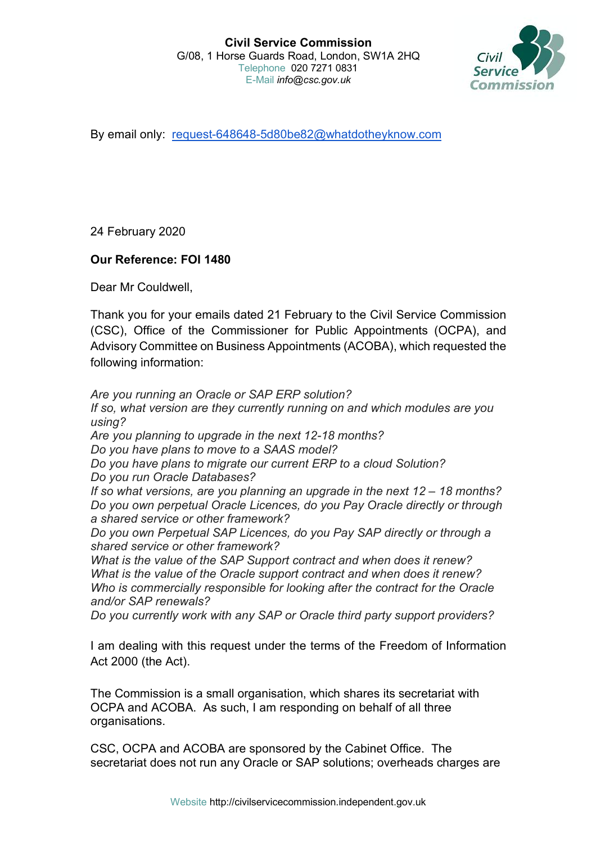

By email only: request-648648-5d80be82@whatdotheyknow.com

24 February 2020

## **Our Reference: FOI 1480**

Dear Mr Couldwell,

Thank you for your emails dated 21 February to the Civil Service Commission (CSC), Office of the Commissioner for Public Appointments (OCPA), and Advisory Committee on Business Appointments (ACOBA), which requested the following information:

*Are you running an Oracle or SAP ERP solution? If so, what version are they currently running on and which modules are you using? Are you planning to upgrade in the next 12-18 months? Do you have plans to move to a SAAS model? Do you have plans to migrate our current ERP to a cloud Solution? Do you run Oracle Databases? If so what versions, are you planning an upgrade in the next 12 – 18 months? Do you own perpetual Oracle Licences, do you Pay Oracle directly or through a shared service or other framework? Do you own Perpetual SAP Licences, do you Pay SAP directly or through a shared service or other framework? What is the value of the SAP Support contract and when does it renew? What is the value of the Oracle support contract and when does it renew? Who is commercially responsible for looking after the contract for the Oracle and/or SAP renewals? Do you currently work with any SAP or Oracle third party support providers?*

I am dealing with this request under the terms of the Freedom of Information Act 2000 (the Act).

The Commission is a small organisation, which shares its secretariat with OCPA and ACOBA. As such, I am responding on behalf of all three organisations.

CSC, OCPA and ACOBA are sponsored by the Cabinet Office. The secretariat does not run any Oracle or SAP solutions; overheads charges are